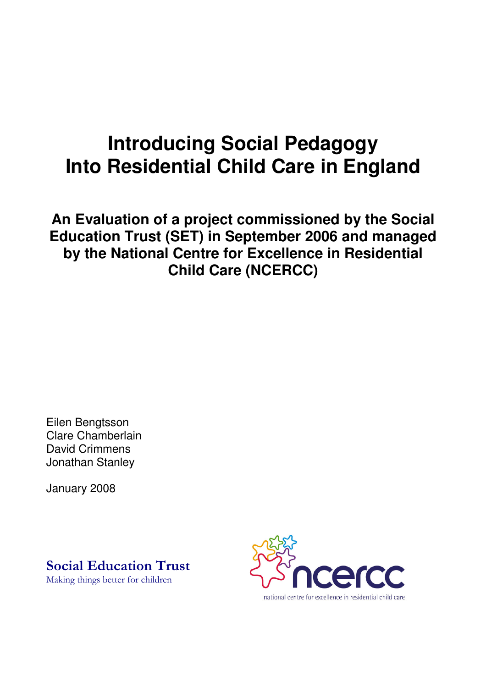# **Introducing Social Pedagogy Into Residential Child Care in England**

**An Evaluation of a project commissioned by the Social Education Trust (SET) in September 2006 and managed by the National Centre for Excellence in Residential Child Care (NCERCC)**

Eilen Bengtsson Clare Chamberlain David Crimmens Jonathan Stanley

January 2008

**Social Education Trust** 

Making things better for children

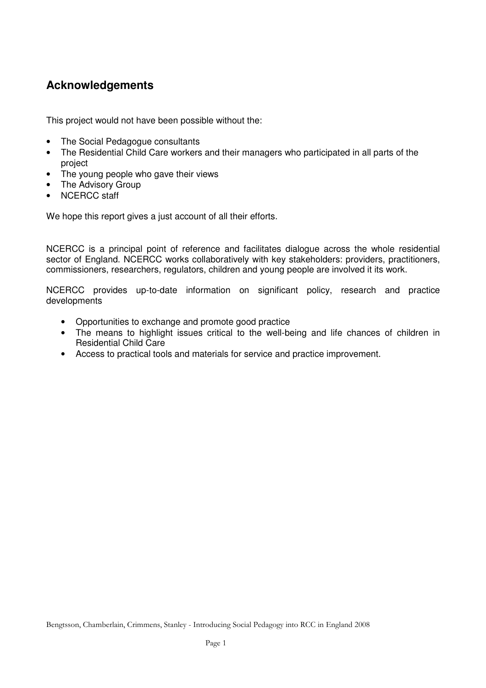# **Acknowledgements**

This project would not have been possible without the:

- The Social Pedagogue consultants
- The Residential Child Care workers and their managers who participated in all parts of the project
- The young people who gave their views
- The Advisory Group
- NCERCC staff

We hope this report gives a just account of all their efforts.

NCERCC is a principal point of reference and facilitates dialogue across the whole residential sector of England. NCERCC works collaboratively with key stakeholders: providers, practitioners, commissioners, researchers, regulators, children and young people are involved it its work.

NCERCC provides up-to-date information on significant policy, research and practice developments

- Opportunities to exchange and promote good practice
- The means to highlight issues critical to the well-being and life chances of children in Residential Child Care
- Access to practical tools and materials for service and practice improvement.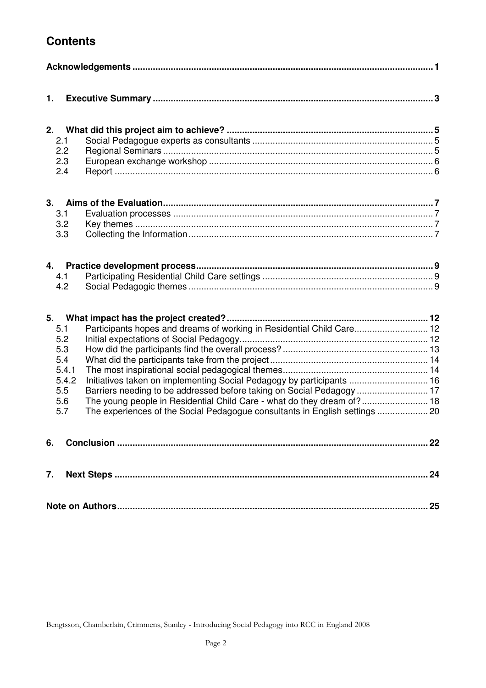# **Contents**

| 1.                                                                                                                                                                                                                                                                                                                                                                                                                                                    |    |
|-------------------------------------------------------------------------------------------------------------------------------------------------------------------------------------------------------------------------------------------------------------------------------------------------------------------------------------------------------------------------------------------------------------------------------------------------------|----|
| 2.<br>2.1<br>2.2<br>2.3<br>2.4                                                                                                                                                                                                                                                                                                                                                                                                                        |    |
| 3.1<br>3.2<br>3.3                                                                                                                                                                                                                                                                                                                                                                                                                                     |    |
| 4.1<br>4.2                                                                                                                                                                                                                                                                                                                                                                                                                                            |    |
| 5.<br>Participants hopes and dreams of working in Residential Child Care 12<br>5.1<br>5.2<br>5.3<br>5.4<br>5.4.1<br>5.4.2<br>Initiatives taken on implementing Social Pedagogy by participants  16<br>5.5<br>Barriers needing to be addressed before taking on Social Pedagogy  17<br>The young people in Residential Child Care - what do they dream of? 18<br>5.6<br>5.7<br>The experiences of the Social Pedagogue consultants in English settings |    |
|                                                                                                                                                                                                                                                                                                                                                                                                                                                       |    |
|                                                                                                                                                                                                                                                                                                                                                                                                                                                       |    |
|                                                                                                                                                                                                                                                                                                                                                                                                                                                       | 25 |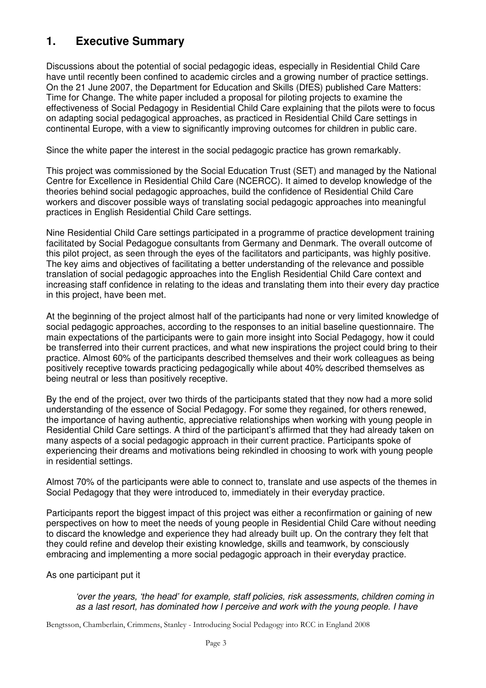# **1. Executive Summary**

Discussions about the potential of social pedagogic ideas, especially in Residential Child Care have until recently been confined to academic circles and a growing number of practice settings. On the 21 June 2007, the Department for Education and Skills (DfES) published Care Matters: Time for Change. The white paper included a proposal for piloting projects to examine the effectiveness of Social Pedagogy in Residential Child Care explaining that the pilots were to focus on adapting social pedagogical approaches, as practiced in Residential Child Care settings in continental Europe, with a view to significantly improving outcomes for children in public care.

Since the white paper the interest in the social pedagogic practice has grown remarkably.

This project was commissioned by the Social Education Trust (SET) and managed by the National Centre for Excellence in Residential Child Care (NCERCC). It aimed to develop knowledge of the theories behind social pedagogic approaches, build the confidence of Residential Child Care workers and discover possible ways of translating social pedagogic approaches into meaningful practices in English Residential Child Care settings.

Nine Residential Child Care settings participated in a programme of practice development training facilitated by Social Pedagogue consultants from Germany and Denmark. The overall outcome of this pilot project, as seen through the eyes of the facilitators and participants, was highly positive. The key aims and objectives of facilitating a better understanding of the relevance and possible translation of social pedagogic approaches into the English Residential Child Care context and increasing staff confidence in relating to the ideas and translating them into their every day practice in this project, have been met.

At the beginning of the project almost half of the participants had none or very limited knowledge of social pedagogic approaches, according to the responses to an initial baseline questionnaire. The main expectations of the participants were to gain more insight into Social Pedagogy, how it could be transferred into their current practices, and what new inspirations the project could bring to their practice. Almost 60% of the participants described themselves and their work colleagues as being positively receptive towards practicing pedagogically while about 40% described themselves as being neutral or less than positively receptive.

By the end of the project, over two thirds of the participants stated that they now had a more solid understanding of the essence of Social Pedagogy. For some they regained, for others renewed, the importance of having authentic, appreciative relationships when working with young people in Residential Child Care settings. A third of the participant's affirmed that they had already taken on many aspects of a social pedagogic approach in their current practice. Participants spoke of experiencing their dreams and motivations being rekindled in choosing to work with young people in residential settings.

Almost 70% of the participants were able to connect to, translate and use aspects of the themes in Social Pedagogy that they were introduced to, immediately in their everyday practice.

Participants report the biggest impact of this project was either a reconfirmation or gaining of new perspectives on how to meet the needs of young people in Residential Child Care without needing to discard the knowledge and experience they had already built up. On the contrary they felt that they could refine and develop their existing knowledge, skills and teamwork, by consciously embracing and implementing a more social pedagogic approach in their everyday practice.

#### As one participant put it

*'over the years, 'the head' for example, staff policies, risk assessments, children coming in as a last resort, has dominated how I perceive and work with the young people. I have*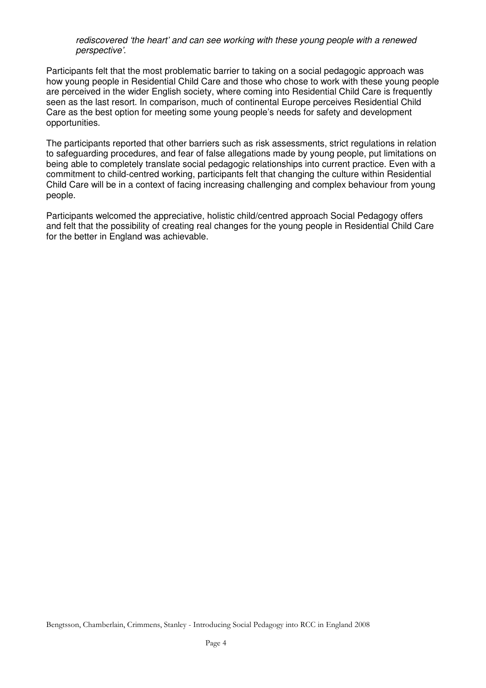*rediscovered 'the heart' and can see working with these young people with a renewed perspective'.*

Participants felt that the most problematic barrier to taking on a social pedagogic approach was how young people in Residential Child Care and those who chose to work with these young people are perceived in the wider English society, where coming into Residential Child Care is frequently seen as the last resort. In comparison, much of continental Europe perceives Residential Child Care as the best option for meeting some young people's needs for safety and development opportunities.

The participants reported that other barriers such as risk assessments, strict regulations in relation to safeguarding procedures, and fear of false allegations made by young people, put limitations on being able to completely translate social pedagogic relationships into current practice. Even with a commitment to child-centred working, participants felt that changing the culture within Residential Child Care will be in a context of facing increasing challenging and complex behaviour from young people.

Participants welcomed the appreciative, holistic child/centred approach Social Pedagogy offers and felt that the possibility of creating real changes for the young people in Residential Child Care for the better in England was achievable.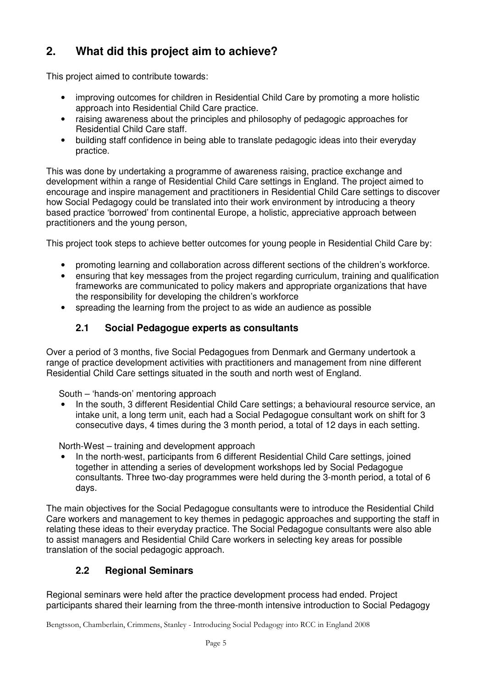# **2. What did this project aim to achieve?**

This project aimed to contribute towards:

- improving outcomes for children in Residential Child Care by promoting a more holistic approach into Residential Child Care practice.
- raising awareness about the principles and philosophy of pedagogic approaches for Residential Child Care staff.
- building staff confidence in being able to translate pedagogic ideas into their everyday practice.

This was done by undertaking a programme of awareness raising, practice exchange and development within a range of Residential Child Care settings in England. The project aimed to encourage and inspire management and practitioners in Residential Child Care settings to discover how Social Pedagogy could be translated into their work environment by introducing a theory based practice 'borrowed' from continental Europe, a holistic, appreciative approach between practitioners and the young person,

This project took steps to achieve better outcomes for young people in Residential Child Care by:

- promoting learning and collaboration across different sections of the children's workforce.
- ensuring that key messages from the project regarding curriculum, training and qualification frameworks are communicated to policy makers and appropriate organizations that have the responsibility for developing the children's workforce
- spreading the learning from the project to as wide an audience as possible

# **2.1 Social Pedagogue experts as consultants**

Over a period of 3 months, five Social Pedagogues from Denmark and Germany undertook a range of practice development activities with practitioners and management from nine different Residential Child Care settings situated in the south and north west of England.

South – 'hands-on' mentoring approach

• In the south, 3 different Residential Child Care settings; a behavioural resource service, an intake unit, a long term unit, each had a Social Pedagogue consultant work on shift for 3 consecutive days, 4 times during the 3 month period, a total of 12 days in each setting.

North-West – training and development approach

• In the north-west, participants from 6 different Residential Child Care settings, joined together in attending a series of development workshops led by Social Pedagogue consultants. Three two-day programmes were held during the 3-month period, a total of 6 days.

The main objectives for the Social Pedagogue consultants were to introduce the Residential Child Care workers and management to key themes in pedagogic approaches and supporting the staff in relating these ideas to their everyday practice. The Social Pedagogue consultants were also able to assist managers and Residential Child Care workers in selecting key areas for possible translation of the social pedagogic approach.

# **2.2 Regional Seminars**

Regional seminars were held after the practice development process had ended. Project participants shared their learning from the three-month intensive introduction to Social Pedagogy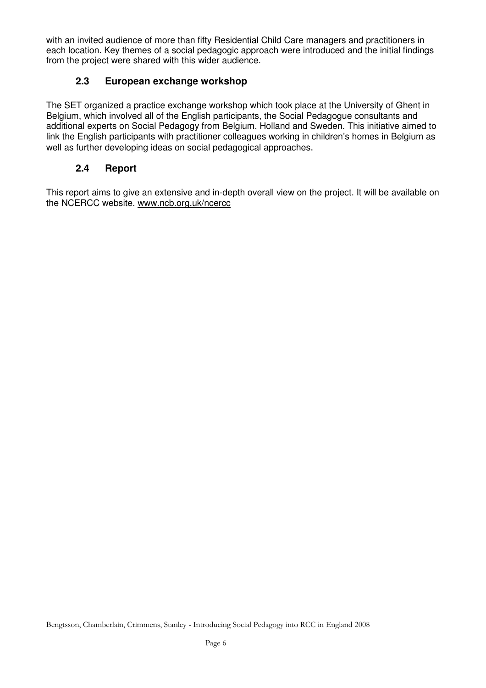with an invited audience of more than fifty Residential Child Care managers and practitioners in each location. Key themes of a social pedagogic approach were introduced and the initial findings from the project were shared with this wider audience.

# **2.3 European exchange workshop**

The SET organized a practice exchange workshop which took place at the University of Ghent in Belgium, which involved all of the English participants, the Social Pedagogue consultants and additional experts on Social Pedagogy from Belgium, Holland and Sweden. This initiative aimed to link the English participants with practitioner colleagues working in children's homes in Belgium as well as further developing ideas on social pedagogical approaches.

# **2.4 Report**

This report aims to give an extensive and in-depth overall view on the project. It will be available on the NCERCC website. www.ncb.org.uk/ncercc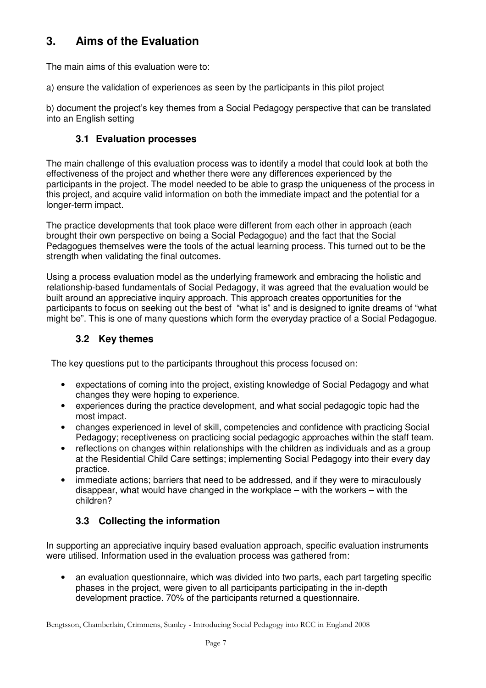# **3. Aims of the Evaluation**

The main aims of this evaluation were to:

a) ensure the validation of experiences as seen by the participants in this pilot project

b) document the project's key themes from a Social Pedagogy perspective that can be translated into an English setting

# **3.1 Evaluation processes**

The main challenge of this evaluation process was to identify a model that could look at both the effectiveness of the project and whether there were any differences experienced by the participants in the project. The model needed to be able to grasp the uniqueness of the process in this project, and acquire valid information on both the immediate impact and the potential for a longer-term impact.

The practice developments that took place were different from each other in approach (each brought their own perspective on being a Social Pedagogue) and the fact that the Social Pedagogues themselves were the tools of the actual learning process. This turned out to be the strength when validating the final outcomes.

Using a process evaluation model as the underlying framework and embracing the holistic and relationship-based fundamentals of Social Pedagogy, it was agreed that the evaluation would be built around an appreciative inquiry approach. This approach creates opportunities for the participants to focus on seeking out the best of "what is" and is designed to ignite dreams of "what might be". This is one of many questions which form the everyday practice of a Social Pedagogue.

# **3.2 Key themes**

The key questions put to the participants throughout this process focused on:

- expectations of coming into the project, existing knowledge of Social Pedagogy and what changes they were hoping to experience.
- experiences during the practice development, and what social pedagogic topic had the most impact.
- changes experienced in level of skill, competencies and confidence with practicing Social Pedagogy; receptiveness on practicing social pedagogic approaches within the staff team.
- reflections on changes within relationships with the children as individuals and as a group at the Residential Child Care settings; implementing Social Pedagogy into their every day practice.
- immediate actions; barriers that need to be addressed, and if they were to miraculously disappear, what would have changed in the workplace – with the workers – with the children?

# **3.3 Collecting the information**

In supporting an appreciative inquiry based evaluation approach, specific evaluation instruments were utilised. Information used in the evaluation process was gathered from:

• an evaluation questionnaire, which was divided into two parts, each part targeting specific phases in the project, were given to all participants participating in the in-depth development practice. 70% of the participants returned a questionnaire.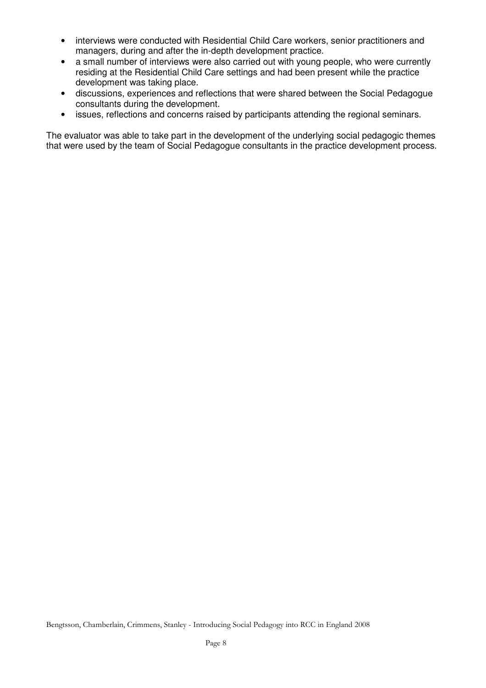- interviews were conducted with Residential Child Care workers, senior practitioners and managers, during and after the in-depth development practice.
- a small number of interviews were also carried out with young people, who were currently residing at the Residential Child Care settings and had been present while the practice development was taking place.
- discussions, experiences and reflections that were shared between the Social Pedagogue consultants during the development.
- issues, reflections and concerns raised by participants attending the regional seminars.

The evaluator was able to take part in the development of the underlying social pedagogic themes that were used by the team of Social Pedagogue consultants in the practice development process.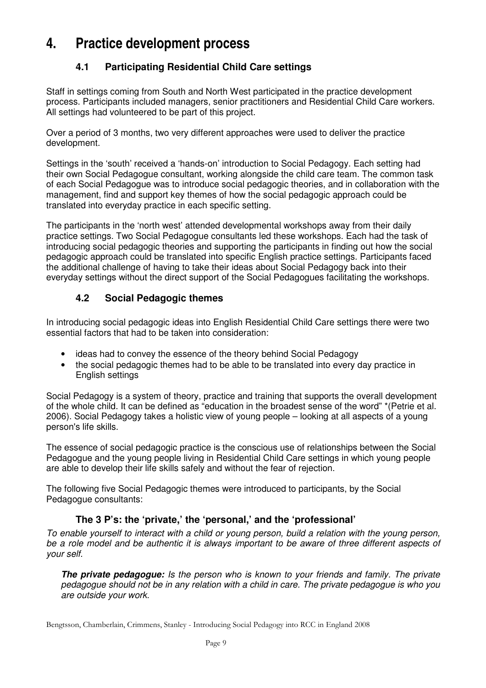# **4. Practice development process**

# **4.1 Participating Residential Child Care settings**

Staff in settings coming from South and North West participated in the practice development process. Participants included managers, senior practitioners and Residential Child Care workers. All settings had volunteered to be part of this project.

Over a period of 3 months, two very different approaches were used to deliver the practice development.

Settings in the 'south' received a 'hands-on' introduction to Social Pedagogy. Each setting had their own Social Pedagogue consultant, working alongside the child care team. The common task of each Social Pedagogue was to introduce social pedagogic theories, and in collaboration with the management, find and support key themes of how the social pedagogic approach could be translated into everyday practice in each specific setting.

The participants in the 'north west' attended developmental workshops away from their daily practice settings. Two Social Pedagogue consultants led these workshops. Each had the task of introducing social pedagogic theories and supporting the participants in finding out how the social pedagogic approach could be translated into specific English practice settings. Participants faced the additional challenge of having to take their ideas about Social Pedagogy back into their everyday settings without the direct support of the Social Pedagogues facilitating the workshops.

# **4.2 Social Pedagogic themes**

In introducing social pedagogic ideas into English Residential Child Care settings there were two essential factors that had to be taken into consideration:

- ideas had to convey the essence of the theory behind Social Pedagogy
- the social pedagogic themes had to be able to be translated into every day practice in English settings

Social Pedagogy is a system of theory, practice and training that supports the overall development of the whole child. It can be defined as "education in the broadest sense of the word" \*(Petrie et al. 2006). Social Pedagogy takes a holistic view of young people – looking at all aspects of a young person's life skills.

The essence of social pedagogic practice is the conscious use of relationships between the Social Pedagogue and the young people living in Residential Child Care settings in which young people are able to develop their life skills safely and without the fear of rejection.

The following five Social Pedagogic themes were introduced to participants, by the Social Pedagogue consultants:

# **The 3 P's: the 'private,' the 'personal,' and the 'professional'**

To enable yourself to interact with a child or young person, build a relation with the young person, be a role model and be authentic it is always important to be aware of three different aspects of *your self.*

*The private pedagogue: Is the person who is known to your friends and family. The private pedagogue should not be in any relation with a child in care. The private pedagogue is who you are outside your work.*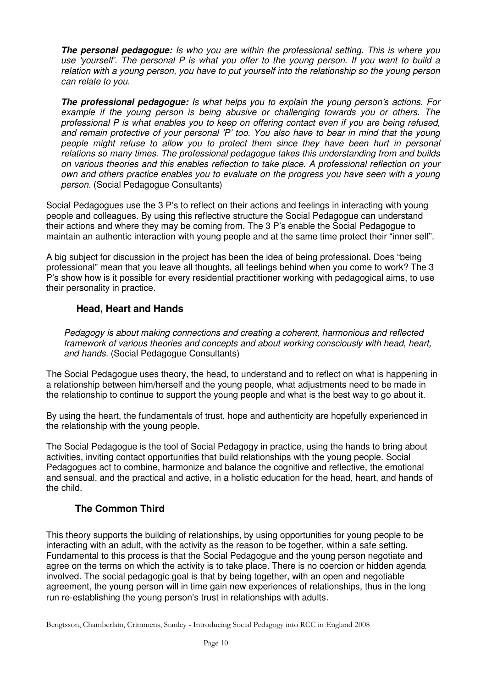*The personal pedagogue: Is who you are within the professional setting. This is where you* use 'yourself'. The personal P is what you offer to the young person. If you want to build a *relation with a young person, you have to put yourself into the relationship so the young person can relate to you.*

*The professional pedagogue: Is what helps you to explain the young person's actions. For example if the young person is being abusive or challenging towards you or others. The professional P is what enables you to keep on offering contact even if you are being refused, and remain protective of your personal 'P' too. You also have to bear in mind that the young people might refuse to allow you to protect them since they have been hurt in personal relations so many times. The professional pedagogue takes this understanding from and builds on various theories and this enables reflection to take place. A professional reflection on your own and others practice enables you to evaluate on the progress you have seen with a young person.* (Social Pedagogue Consultants)

Social Pedagogues use the 3 P's to reflect on their actions and feelings in interacting with young people and colleagues. By using this reflective structure the Social Pedagogue can understand their actions and where they may be coming from. The 3 P's enable the Social Pedagogue to maintain an authentic interaction with young people and at the same time protect their "inner self".

A big subject for discussion in the project has been the idea of being professional. Does "being professional" mean that you leave all thoughts, all feelings behind when you come to work? The 3 P's show how is it possible for every residential practitioner working with pedagogical aims, to use their personality in practice.

#### **Head, Heart and Hands**

*Pedagogy is about making connections and creating a coherent, harmonious and reflected framework of various theories and concepts and about working consciously with head, heart, and hands.* (Social Pedagogue Consultants)

The Social Pedagogue uses theory, the head, to understand and to reflect on what is happening in a relationship between him/herself and the young people, what adjustments need to be made in the relationship to continue to support the young people and what is the best way to go about it.

By using the heart, the fundamentals of trust, hope and authenticity are hopefully experienced in the relationship with the young people.

The Social Pedagogue is the tool of Social Pedagogy in practice, using the hands to bring about activities, inviting contact opportunities that build relationships with the young people. Social Pedagogues act to combine, harmonize and balance the cognitive and reflective, the emotional and sensual, and the practical and active, in a holistic education for the head, heart, and hands of the child.

# **The Common Third**

This theory supports the building of relationships, by using opportunities for young people to be interacting with an adult, with the activity as the reason to be together, within a safe setting. Fundamental to this process is that the Social Pedagogue and the young person negotiate and agree on the terms on which the activity is to take place. There is no coercion or hidden agenda involved. The social pedagogic goal is that by being together, with an open and negotiable agreement, the young person will in time gain new experiences of relationships, thus in the long run re-establishing the young person's trust in relationships with adults.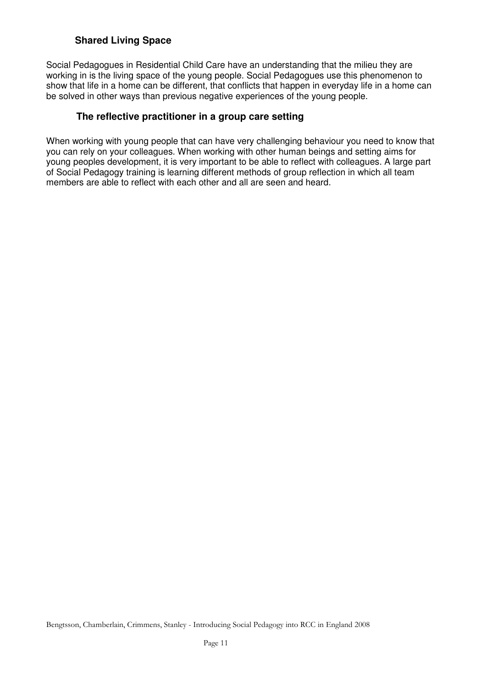### **Shared Living Space**

Social Pedagogues in Residential Child Care have an understanding that the milieu they are working in is the living space of the young people. Social Pedagogues use this phenomenon to show that life in a home can be different, that conflicts that happen in everyday life in a home can be solved in other ways than previous negative experiences of the young people.

#### **The reflective practitioner in a group care setting**

When working with young people that can have very challenging behaviour you need to know that you can rely on your colleagues. When working with other human beings and setting aims for young peoples development, it is very important to be able to reflect with colleagues. A large part of Social Pedagogy training is learning different methods of group reflection in which all team members are able to reflect with each other and all are seen and heard.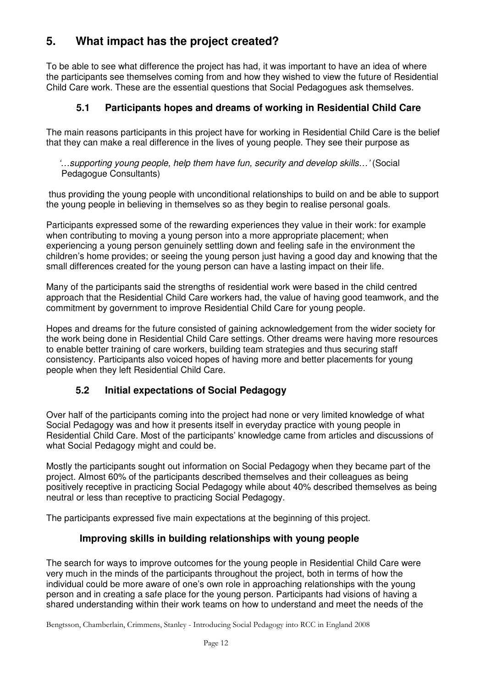# **5. What impact has the project created?**

To be able to see what difference the project has had, it was important to have an idea of where the participants see themselves coming from and how they wished to view the future of Residential Child Care work. These are the essential questions that Social Pedagogues ask themselves.

# **5.1 Participants hopes and dreams of working in Residential Child Care**

The main reasons participants in this project have for working in Residential Child Care is the belief that they can make a real difference in the lives of young people. They see their purpose as

*'…supporting young people, help them have fun, security and develop skills…'* (Social Pedagogue Consultants)

thus providing the young people with unconditional relationships to build on and be able to support the young people in believing in themselves so as they begin to realise personal goals.

Participants expressed some of the rewarding experiences they value in their work: for example when contributing to moving a young person into a more appropriate placement; when experiencing a young person genuinely settling down and feeling safe in the environment the children's home provides; or seeing the young person just having a good day and knowing that the small differences created for the young person can have a lasting impact on their life.

Many of the participants said the strengths of residential work were based in the child centred approach that the Residential Child Care workers had, the value of having good teamwork, and the commitment by government to improve Residential Child Care for young people.

Hopes and dreams for the future consisted of gaining acknowledgement from the wider society for the work being done in Residential Child Care settings. Other dreams were having more resources to enable better training of care workers, building team strategies and thus securing staff consistency. Participants also voiced hopes of having more and better placements for young people when they left Residential Child Care.

# **5.2 Initial expectations of Social Pedagogy**

Over half of the participants coming into the project had none or very limited knowledge of what Social Pedagogy was and how it presents itself in everyday practice with young people in Residential Child Care. Most of the participants' knowledge came from articles and discussions of what Social Pedagogy might and could be.

Mostly the participants sought out information on Social Pedagogy when they became part of the project. Almost 60% of the participants described themselves and their colleagues as being positively receptive in practicing Social Pedagogy while about 40% described themselves as being neutral or less than receptive to practicing Social Pedagogy.

The participants expressed five main expectations at the beginning of this project.

# **Improving skills in building relationships with young people**

The search for ways to improve outcomes for the young people in Residential Child Care were very much in the minds of the participants throughout the project, both in terms of how the individual could be more aware of one's own role in approaching relationships with the young person and in creating a safe place for the young person. Participants had visions of having a shared understanding within their work teams on how to understand and meet the needs of the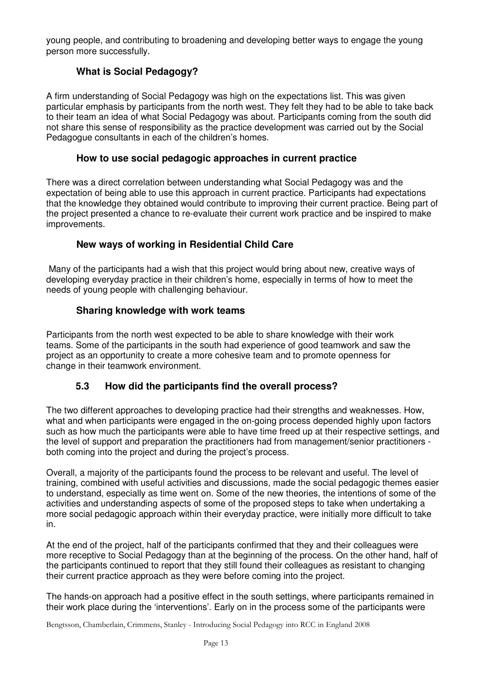young people, and contributing to broadening and developing better ways to engage the young person more successfully.

# **What is Social Pedagogy?**

A firm understanding of Social Pedagogy was high on the expectations list. This was given particular emphasis by participants from the north west. They felt they had to be able to take back to their team an idea of what Social Pedagogy was about. Participants coming from the south did not share this sense of responsibility as the practice development was carried out by the Social Pedagogue consultants in each of the children's homes.

#### **How to use social pedagogic approaches in current practice**

There was a direct correlation between understanding what Social Pedagogy was and the expectation of being able to use this approach in current practice. Participants had expectations that the knowledge they obtained would contribute to improving their current practice. Being part of the project presented a chance to re-evaluate their current work practice and be inspired to make improvements.

#### **New ways of working in Residential Child Care**

Many of the participants had a wish that this project would bring about new, creative ways of developing everyday practice in their children's home, especially in terms of how to meet the needs of young people with challenging behaviour.

#### **Sharing knowledge with work teams**

Participants from the north west expected to be able to share knowledge with their work teams. Some of the participants in the south had experience of good teamwork and saw the project as an opportunity to create a more cohesive team and to promote openness for change in their teamwork environment.

# **5.3 How did the participants find the overall process?**

The two different approaches to developing practice had their strengths and weaknesses. How, what and when participants were engaged in the on-going process depended highly upon factors such as how much the participants were able to have time freed up at their respective settings, and the level of support and preparation the practitioners had from management/senior practitioners both coming into the project and during the project's process.

Overall, a majority of the participants found the process to be relevant and useful. The level of training, combined with useful activities and discussions, made the social pedagogic themes easier to understand, especially as time went on. Some of the new theories, the intentions of some of the activities and understanding aspects of some of the proposed steps to take when undertaking a more social pedagogic approach within their everyday practice, were initially more difficult to take in.

At the end of the project, half of the participants confirmed that they and their colleagues were more receptive to Social Pedagogy than at the beginning of the process. On the other hand, half of the participants continued to report that they still found their colleagues as resistant to changing their current practice approach as they were before coming into the project.

The hands-on approach had a positive effect in the south settings, where participants remained in their work place during the 'interventions'. Early on in the process some of the participants were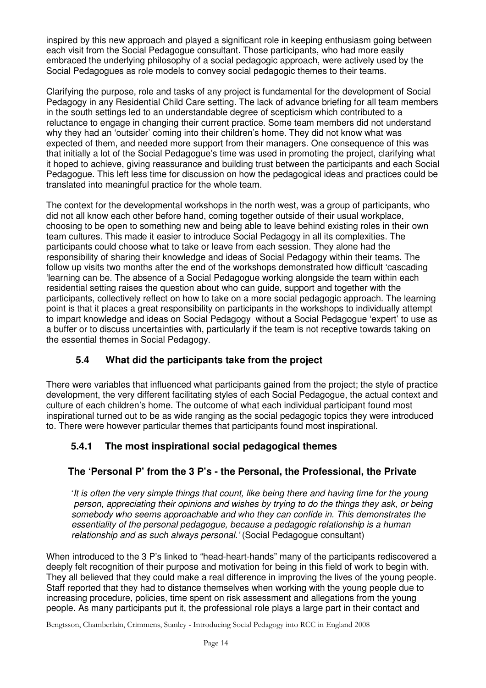inspired by this new approach and played a significant role in keeping enthusiasm going between each visit from the Social Pedagogue consultant. Those participants, who had more easily embraced the underlying philosophy of a social pedagogic approach, were actively used by the Social Pedagogues as role models to convey social pedagogic themes to their teams.

Clarifying the purpose, role and tasks of any project is fundamental for the development of Social Pedagogy in any Residential Child Care setting. The lack of advance briefing for all team members in the south settings led to an understandable degree of scepticism which contributed to a reluctance to engage in changing their current practice. Some team members did not understand why they had an 'outsider' coming into their children's home. They did not know what was expected of them, and needed more support from their managers. One consequence of this was that initially a lot of the Social Pedagogue's time was used in promoting the project, clarifying what it hoped to achieve, giving reassurance and building trust between the participants and each Social Pedagogue. This left less time for discussion on how the pedagogical ideas and practices could be translated into meaningful practice for the whole team.

The context for the developmental workshops in the north west, was a group of participants, who did not all know each other before hand, coming together outside of their usual workplace, choosing to be open to something new and being able to leave behind existing roles in their own team cultures. This made it easier to introduce Social Pedagogy in all its complexities. The participants could choose what to take or leave from each session. They alone had the responsibility of sharing their knowledge and ideas of Social Pedagogy within their teams. The follow up visits two months after the end of the workshops demonstrated how difficult 'cascading 'learning can be. The absence of a Social Pedagogue working alongside the team within each residential setting raises the question about who can guide, support and together with the participants, collectively reflect on how to take on a more social pedagogic approach. The learning point is that it places a great responsibility on participants in the workshops to individually attempt to impart knowledge and ideas on Social Pedagogy without a Social Pedagogue 'expert' to use as a buffer or to discuss uncertainties with, particularly if the team is not receptive towards taking on the essential themes in Social Pedagogy.

# **5.4 What did the participants take from the project**

There were variables that influenced what participants gained from the project; the style of practice development, the very different facilitating styles of each Social Pedagogue, the actual context and culture of each children's home. The outcome of what each individual participant found most inspirational turned out to be as wide ranging as the social pedagogic topics they were introduced to. There were however particular themes that participants found most inspirational.

# **5.4.1 The most inspirational social pedagogical themes**

# **The 'Personal P' from the 3 P's - the Personal, the Professional, the Private**

'*It is often the very simple things that count, like being there and having time for the young person, appreciating their opinions and wishes by trying to do the things they ask, or being somebody who seems approachable and who they can confide in. This demonstrates the essentiality of the personal pedagogue, because a pedagogic relationship is a human relationship and as such always personal.'* (Social Pedagogue consultant)

When introduced to the 3 P's linked to "head-heart-hands" many of the participants rediscovered a deeply felt recognition of their purpose and motivation for being in this field of work to begin with. They all believed that they could make a real difference in improving the lives of the young people. Staff reported that they had to distance themselves when working with the young people due to increasing procedure, policies, time spent on risk assessment and allegations from the young people. As many participants put it, the professional role plays a large part in their contact and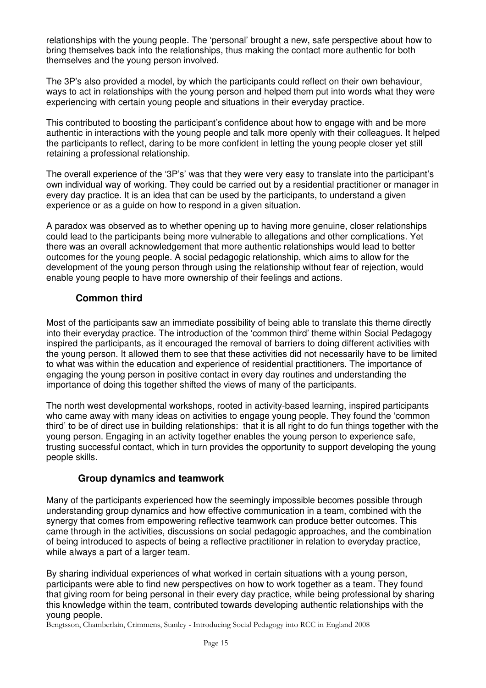relationships with the young people. The 'personal' brought a new, safe perspective about how to bring themselves back into the relationships, thus making the contact more authentic for both themselves and the young person involved.

The 3P's also provided a model, by which the participants could reflect on their own behaviour, ways to act in relationships with the young person and helped them put into words what they were experiencing with certain young people and situations in their everyday practice.

This contributed to boosting the participant's confidence about how to engage with and be more authentic in interactions with the young people and talk more openly with their colleagues. It helped the participants to reflect, daring to be more confident in letting the young people closer yet still retaining a professional relationship.

The overall experience of the '3P's' was that they were very easy to translate into the participant's own individual way of working. They could be carried out by a residential practitioner or manager in every day practice. It is an idea that can be used by the participants, to understand a given experience or as a guide on how to respond in a given situation.

A paradox was observed as to whether opening up to having more genuine, closer relationships could lead to the participants being more vulnerable to allegations and other complications. Yet there was an overall acknowledgement that more authentic relationships would lead to better outcomes for the young people. A social pedagogic relationship, which aims to allow for the development of the young person through using the relationship without fear of rejection, would enable young people to have more ownership of their feelings and actions.

#### **Common third**

Most of the participants saw an immediate possibility of being able to translate this theme directly into their everyday practice. The introduction of the 'common third' theme within Social Pedagogy inspired the participants, as it encouraged the removal of barriers to doing different activities with the young person. It allowed them to see that these activities did not necessarily have to be limited to what was within the education and experience of residential practitioners. The importance of engaging the young person in positive contact in every day routines and understanding the importance of doing this together shifted the views of many of the participants.

The north west developmental workshops, rooted in activity-based learning, inspired participants who came away with many ideas on activities to engage young people. They found the 'common third' to be of direct use in building relationships: that it is all right to do fun things together with the young person. Engaging in an activity together enables the young person to experience safe, trusting successful contact, which in turn provides the opportunity to support developing the young people skills.

#### **Group dynamics and teamwork**

Many of the participants experienced how the seemingly impossible becomes possible through understanding group dynamics and how effective communication in a team, combined with the synergy that comes from empowering reflective teamwork can produce better outcomes. This came through in the activities, discussions on social pedagogic approaches, and the combination of being introduced to aspects of being a reflective practitioner in relation to everyday practice, while always a part of a larger team.

By sharing individual experiences of what worked in certain situations with a young person, participants were able to find new perspectives on how to work together as a team. They found that giving room for being personal in their every day practice, while being professional by sharing this knowledge within the team, contributed towards developing authentic relationships with the young people.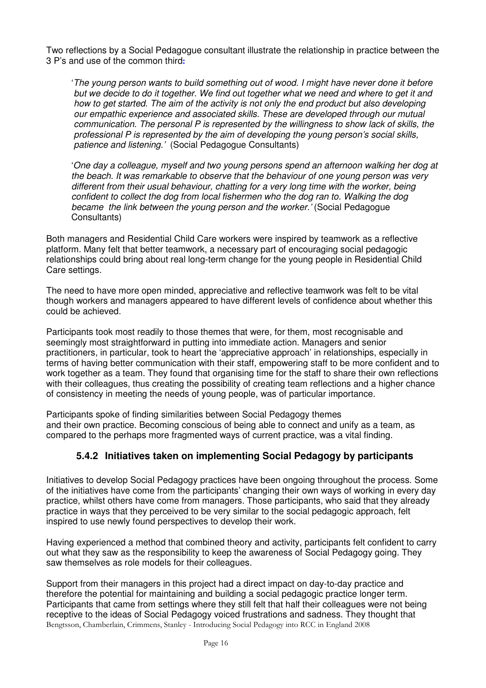Two reflections by a Social Pedagogue consultant illustrate the relationship in practice between the 3 P's and use of the common third

'*The young person wants to build something out of wood. I might have never done it before* but we decide to do it together. We find out together what we need and where to get it and *how to get started. The aim of the activity is not only the end product but also developing our empathic experience and associated skills. These are developed through our mutual communication. The personal P is represented by the willingness to show lack of skills, the professional P is represented by the aim of developing the young person's social skills, patience and listening.'* (Social Pedagogue Consultants)

'*One day a colleague, myself and two young persons spend an afternoon walking her dog at the beach. It was remarkable to observe that the behaviour of one young person was very different from their usual behaviour, chatting for a very long time with the worker, being confident to collect the dog from local fishermen who the dog ran to. Walking the dog became the link between the young person and the worker.'* (Social Pedagogue Consultants)

Both managers and Residential Child Care workers were inspired by teamwork as a reflective platform. Many felt that better teamwork, a necessary part of encouraging social pedagogic relationships could bring about real long-term change for the young people in Residential Child Care settings.

The need to have more open minded, appreciative and reflective teamwork was felt to be vital though workers and managers appeared to have different levels of confidence about whether this could be achieved.

Participants took most readily to those themes that were, for them, most recognisable and seemingly most straightforward in putting into immediate action. Managers and senior practitioners, in particular, took to heart the 'appreciative approach' in relationships, especially in terms of having better communication with their staff, empowering staff to be more confident and to work together as a team. They found that organising time for the staff to share their own reflections with their colleagues, thus creating the possibility of creating team reflections and a higher chance of consistency in meeting the needs of young people, was of particular importance.

Participants spoke of finding similarities between Social Pedagogy themes and their own practice. Becoming conscious of being able to connect and unify as a team, as compared to the perhaps more fragmented ways of current practice, was a vital finding.

# **5.4.2 Initiatives taken on implementing Social Pedagogy by participants**

Initiatives to develop Social Pedagogy practices have been ongoing throughout the process. Some of the initiatives have come from the participants' changing their own ways of working in every day practice, whilst others have come from managers. Those participants, who said that they already practice in ways that they perceived to be very similar to the social pedagogic approach, felt inspired to use newly found perspectives to develop their work.

Having experienced a method that combined theory and activity, participants felt confident to carry out what they saw as the responsibility to keep the awareness of Social Pedagogy going. They saw themselves as role models for their colleagues.

Bengtsson, Chamberlain, Crimmens, Stanley - Introducing Social Pedagogy into RCC in England 2008 Support from their managers in this project had a direct impact on day-to-day practice and therefore the potential for maintaining and building a social pedagogic practice longer term. Participants that came from settings where they still felt that half their colleagues were not being receptive to the ideas of Social Pedagogy voiced frustrations and sadness. They thought that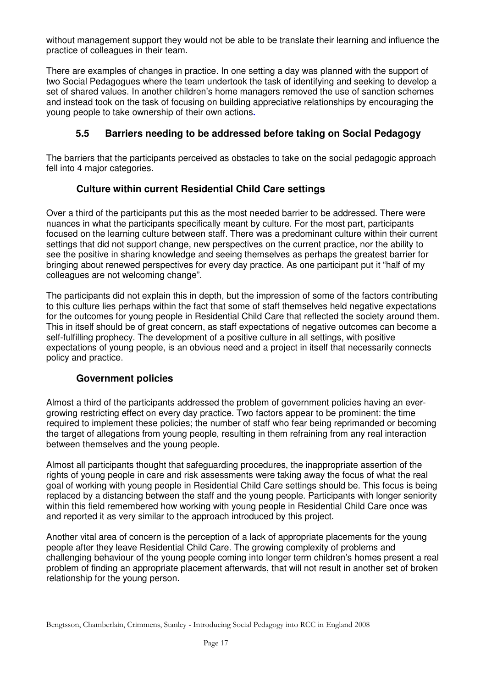without management support they would not be able to be translate their learning and influence the practice of colleagues in their team.

There are examples of changes in practice. In one setting a day was planned with the support of two Social Pedagogues where the team undertook the task of identifying and seeking to develop a set of shared values. In another children's home managers removed the use of sanction schemes and instead took on the task of focusing on building appreciative relationships by encouraging the young people to take ownership of their own actions

# **5.5 Barriers needing to be addressed before taking on Social Pedagogy**

The barriers that the participants perceived as obstacles to take on the social pedagogic approach fell into 4 major categories.

# **Culture within current Residential Child Care settings**

Over a third of the participants put this as the most needed barrier to be addressed. There were nuances in what the participants specifically meant by culture. For the most part, participants focused on the learning culture between staff. There was a predominant culture within their current settings that did not support change, new perspectives on the current practice, nor the ability to see the positive in sharing knowledge and seeing themselves as perhaps the greatest barrier for bringing about renewed perspectives for every day practice. As one participant put it "half of my colleagues are not welcoming change".

The participants did not explain this in depth, but the impression of some of the factors contributing to this culture lies perhaps within the fact that some of staff themselves held negative expectations for the outcomes for young people in Residential Child Care that reflected the society around them. This in itself should be of great concern, as staff expectations of negative outcomes can become a self-fulfilling prophecy. The development of a positive culture in all settings, with positive expectations of young people, is an obvious need and a project in itself that necessarily connects policy and practice.

#### **Government policies**

Almost a third of the participants addressed the problem of government policies having an evergrowing restricting effect on every day practice. Two factors appear to be prominent: the time required to implement these policies; the number of staff who fear being reprimanded or becoming the target of allegations from young people, resulting in them refraining from any real interaction between themselves and the young people.

Almost all participants thought that safeguarding procedures, the inappropriate assertion of the rights of young people in care and risk assessments were taking away the focus of what the real goal of working with young people in Residential Child Care settings should be. This focus is being replaced by a distancing between the staff and the young people. Participants with longer seniority within this field remembered how working with young people in Residential Child Care once was and reported it as very similar to the approach introduced by this project.

Another vital area of concern is the perception of a lack of appropriate placements for the young people after they leave Residential Child Care. The growing complexity of problems and challenging behaviour of the young people coming into longer term children's homes present a real problem of finding an appropriate placement afterwards, that will not result in another set of broken relationship for the young person.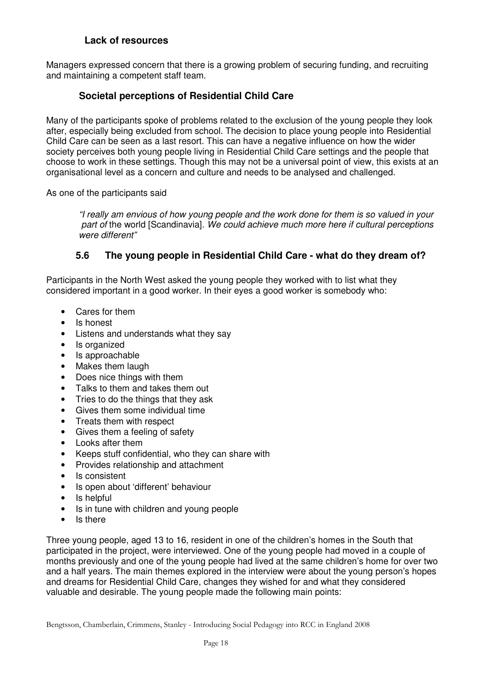#### **Lack of resources**

Managers expressed concern that there is a growing problem of securing funding, and recruiting and maintaining a competent staff team.

### **Societal perceptions of Residential Child Care**

Many of the participants spoke of problems related to the exclusion of the young people they look after, especially being excluded from school. The decision to place young people into Residential Child Care can be seen as a last resort. This can have a negative influence on how the wider society perceives both young people living in Residential Child Care settings and the people that choose to work in these settings. Though this may not be a universal point of view, this exists at an organisational level as a concern and culture and needs to be analysed and challenged.

As one of the participants said

*"I really am envious of how young people and the work done for them is so valued in your part of* the world [Scandinavia]. *We could achieve much more here if cultural perceptions were different"*

#### **5.6 The young people in Residential Child Care - what do they dream of?**

Participants in the North West asked the young people they worked with to list what they considered important in a good worker. In their eyes a good worker is somebody who:

- Cares for them
- Is honest
- Listens and understands what they say
- Is organized
- Is approachable
- Makes them laugh
- Does nice things with them
- Talks to them and takes them out
- Tries to do the things that they ask
- Gives them some individual time
- Treats them with respect
- Gives them a feeling of safety
- Looks after them
- Keeps stuff confidential, who they can share with
- Provides relationship and attachment
- Is consistent
- Is open about 'different' behaviour
- Is helpful
- Is in tune with children and young people
- Is there

Three young people, aged 13 to 16, resident in one of the children's homes in the South that participated in the project, were interviewed. One of the young people had moved in a couple of months previously and one of the young people had lived at the same children's home for over two and a half years. The main themes explored in the interview were about the young person's hopes and dreams for Residential Child Care, changes they wished for and what they considered valuable and desirable. The young people made the following main points: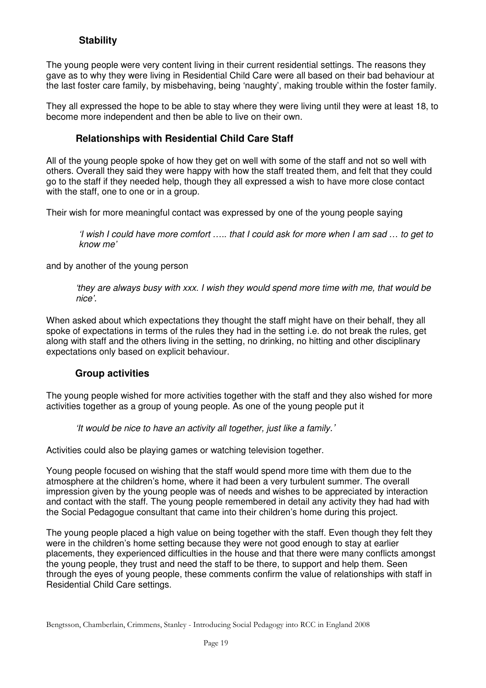# **Stability**

The young people were very content living in their current residential settings. The reasons they gave as to why they were living in Residential Child Care were all based on their bad behaviour at the last foster care family, by misbehaving, being 'naughty', making trouble within the foster family.

They all expressed the hope to be able to stay where they were living until they were at least 18, to become more independent and then be able to live on their own.

### **Relationships with Residential Child Care Staff**

All of the young people spoke of how they get on well with some of the staff and not so well with others. Overall they said they were happy with how the staff treated them, and felt that they could go to the staff if they needed help, though they all expressed a wish to have more close contact with the staff, one to one or in a group.

Their wish for more meaningful contact was expressed by one of the young people saying

'I wish I could have more comfort ..... that I could ask for more when I am sad ... to get to *know me'*

and by another of the young person

*'they are always busy with xxx. I wish they would spend more time with me, that would be nice'.*

When asked about which expectations they thought the staff might have on their behalf, they all spoke of expectations in terms of the rules they had in the setting i.e. do not break the rules, get along with staff and the others living in the setting, no drinking, no hitting and other disciplinary expectations only based on explicit behaviour.

#### **Group activities**

The young people wished for more activities together with the staff and they also wished for more activities together as a group of young people. As one of the young people put it

*'It would be nice to have an activity all together, just like a family.'*

Activities could also be playing games or watching television together.

Young people focused on wishing that the staff would spend more time with them due to the atmosphere at the children's home, where it had been a very turbulent summer. The overall impression given by the young people was of needs and wishes to be appreciated by interaction and contact with the staff. The young people remembered in detail any activity they had had with the Social Pedagogue consultant that came into their children's home during this project.

The young people placed a high value on being together with the staff. Even though they felt they were in the children's home setting because they were not good enough to stay at earlier placements, they experienced difficulties in the house and that there were many conflicts amongst the young people, they trust and need the staff to be there, to support and help them. Seen through the eyes of young people, these comments confirm the value of relationships with staff in Residential Child Care settings.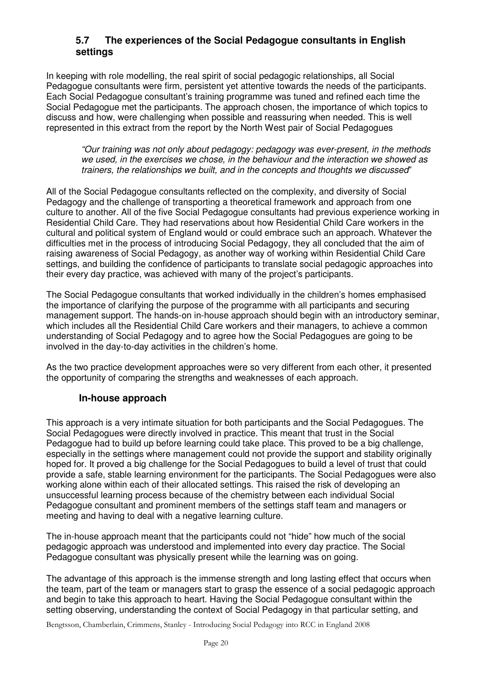#### **5.7 The experiences of the Social Pedagogue consultants in English settings**

In keeping with role modelling, the real spirit of social pedagogic relationships, all Social Pedagogue consultants were firm, persistent yet attentive towards the needs of the participants. Each Social Pedagogue consultant's training programme was tuned and refined each time the Social Pedagogue met the participants. The approach chosen, the importance of which topics to discuss and how, were challenging when possible and reassuring when needed. This is well represented in this extract from the report by the North West pair of Social Pedagogues

*"Our training was not only about pedagogy: pedagogy was ever-present, in the methods we used, in the exercises we chose, in the behaviour and the interaction we showed as trainers, the relationships we built, and in the concepts and thoughts we discussed*"

All of the Social Pedagogue consultants reflected on the complexity, and diversity of Social Pedagogy and the challenge of transporting a theoretical framework and approach from one culture to another. All of the five Social Pedagogue consultants had previous experience working in Residential Child Care. They had reservations about how Residential Child Care workers in the cultural and political system of England would or could embrace such an approach. Whatever the difficulties met in the process of introducing Social Pedagogy, they all concluded that the aim of raising awareness of Social Pedagogy, as another way of working within Residential Child Care settings, and building the confidence of participants to translate social pedagogic approaches into their every day practice, was achieved with many of the project's participants.

The Social Pedagogue consultants that worked individually in the children's homes emphasised the importance of clarifying the purpose of the programme with all participants and securing management support. The hands-on in-house approach should begin with an introductory seminar, which includes all the Residential Child Care workers and their managers, to achieve a common understanding of Social Pedagogy and to agree how the Social Pedagogues are going to be involved in the day-to-day activities in the children's home.

As the two practice development approaches were so very different from each other, it presented the opportunity of comparing the strengths and weaknesses of each approach.

#### **In-house approach**

This approach is a very intimate situation for both participants and the Social Pedagogues. The Social Pedagogues were directly involved in practice. This meant that trust in the Social Pedagogue had to build up before learning could take place. This proved to be a big challenge, especially in the settings where management could not provide the support and stability originally hoped for. It proved a big challenge for the Social Pedagogues to build a level of trust that could provide a safe, stable learning environment for the participants. The Social Pedagogues were also working alone within each of their allocated settings. This raised the risk of developing an unsuccessful learning process because of the chemistry between each individual Social Pedagogue consultant and prominent members of the settings staff team and managers or meeting and having to deal with a negative learning culture.

The in-house approach meant that the participants could not "hide" how much of the social pedagogic approach was understood and implemented into every day practice. The Social Pedagogue consultant was physically present while the learning was on going.

The advantage of this approach is the immense strength and long lasting effect that occurs when the team, part of the team or managers start to grasp the essence of a social pedagogic approach and begin to take this approach to heart. Having the Social Pedagogue consultant within the setting observing, understanding the context of Social Pedagogy in that particular setting, and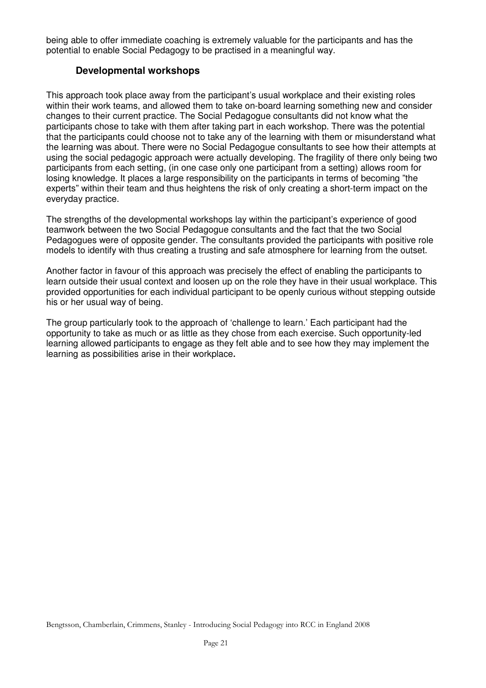being able to offer immediate coaching is extremely valuable for the participants and has the potential to enable Social Pedagogy to be practised in a meaningful way.

#### **Developmental workshops**

This approach took place away from the participant's usual workplace and their existing roles within their work teams, and allowed them to take on-board learning something new and consider changes to their current practice. The Social Pedagogue consultants did not know what the participants chose to take with them after taking part in each workshop. There was the potential that the participants could choose not to take any of the learning with them or misunderstand what the learning was about. There were no Social Pedagogue consultants to see how their attempts at using the social pedagogic approach were actually developing. The fragility of there only being two participants from each setting, (in one case only one participant from a setting) allows room for losing knowledge. It places a large responsibility on the participants in terms of becoming "the experts" within their team and thus heightens the risk of only creating a short-term impact on the everyday practice.

The strengths of the developmental workshops lay within the participant's experience of good teamwork between the two Social Pedagogue consultants and the fact that the two Social Pedagogues were of opposite gender. The consultants provided the participants with positive role models to identify with thus creating a trusting and safe atmosphere for learning from the outset.

Another factor in favour of this approach was precisely the effect of enabling the participants to learn outside their usual context and loosen up on the role they have in their usual workplace. This provided opportunities for each individual participant to be openly curious without stepping outside his or her usual way of being.

The group particularly took to the approach of 'challenge to learn.' Each participant had the opportunity to take as much or as little as they chose from each exercise. Such opportunity-led learning allowed participants to engage as they felt able and to see how they may implement the learning as possibilities arise in their workplace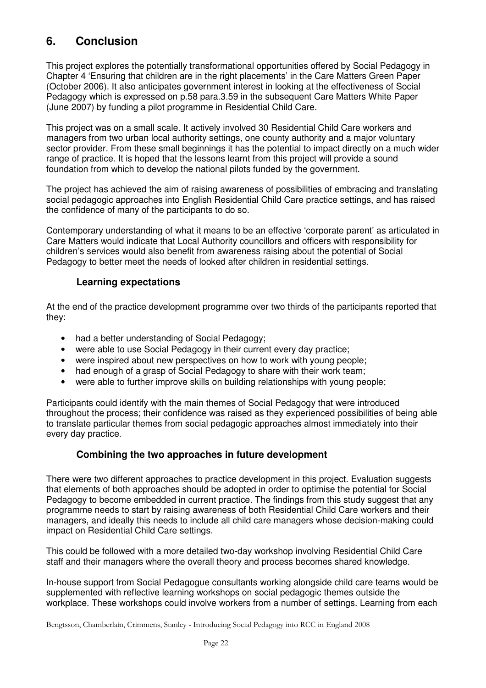# **6. Conclusion**

This project explores the potentially transformational opportunities offered by Social Pedagogy in Chapter 4 'Ensuring that children are in the right placements' in the Care Matters Green Paper (October 2006). It also anticipates government interest in looking at the effectiveness of Social Pedagogy which is expressed on p.58 para.3.59 in the subsequent Care Matters White Paper (June 2007) by funding a pilot programme in Residential Child Care.

This project was on a small scale. It actively involved 30 Residential Child Care workers and managers from two urban local authority settings, one county authority and a major voluntary sector provider. From these small beginnings it has the potential to impact directly on a much wider range of practice. It is hoped that the lessons learnt from this project will provide a sound foundation from which to develop the national pilots funded by the government.

The project has achieved the aim of raising awareness of possibilities of embracing and translating social pedagogic approaches into English Residential Child Care practice settings, and has raised the confidence of many of the participants to do so.

Contemporary understanding of what it means to be an effective 'corporate parent' as articulated in Care Matters would indicate that Local Authority councillors and officers with responsibility for children's services would also benefit from awareness raising about the potential of Social Pedagogy to better meet the needs of looked after children in residential settings.

#### **Learning expectations**

At the end of the practice development programme over two thirds of the participants reported that they:

- had a better understanding of Social Pedagogy:
- were able to use Social Pedagogy in their current every day practice;
- were inspired about new perspectives on how to work with young people;
- had enough of a grasp of Social Pedagogy to share with their work team;
- were able to further improve skills on building relationships with young people;

Participants could identify with the main themes of Social Pedagogy that were introduced throughout the process; their confidence was raised as they experienced possibilities of being able to translate particular themes from social pedagogic approaches almost immediately into their every day practice.

#### **Combining the two approaches in future development**

There were two different approaches to practice development in this project. Evaluation suggests that elements of both approaches should be adopted in order to optimise the potential for Social Pedagogy to become embedded in current practice. The findings from this study suggest that any programme needs to start by raising awareness of both Residential Child Care workers and their managers, and ideally this needs to include all child care managers whose decision-making could impact on Residential Child Care settings.

This could be followed with a more detailed two-day workshop involving Residential Child Care staff and their managers where the overall theory and process becomes shared knowledge.

In-house support from Social Pedagogue consultants working alongside child care teams would be supplemented with reflective learning workshops on social pedagogic themes outside the workplace. These workshops could involve workers from a number of settings. Learning from each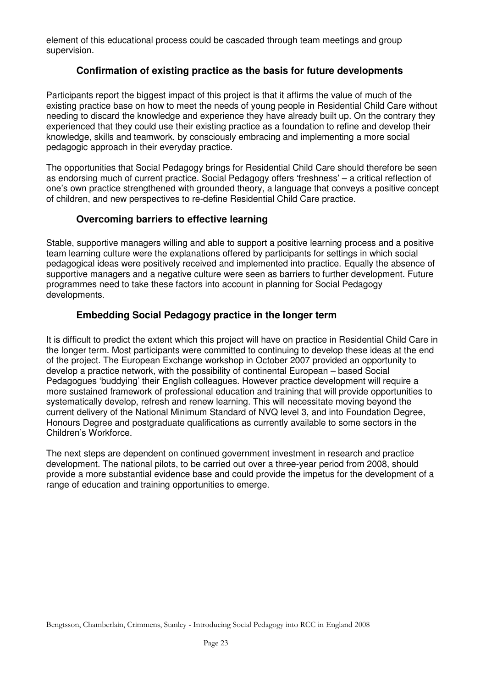element of this educational process could be cascaded through team meetings and group supervision.

### **Confirmation of existing practice as the basis for future developments**

Participants report the biggest impact of this project is that it affirms the value of much of the existing practice base on how to meet the needs of young people in Residential Child Care without needing to discard the knowledge and experience they have already built up. On the contrary they experienced that they could use their existing practice as a foundation to refine and develop their knowledge, skills and teamwork, by consciously embracing and implementing a more social pedagogic approach in their everyday practice.

The opportunities that Social Pedagogy brings for Residential Child Care should therefore be seen as endorsing much of current practice. Social Pedagogy offers 'freshness' – a critical reflection of one's own practice strengthened with grounded theory, a language that conveys a positive concept of children, and new perspectives to re-define Residential Child Care practice.

#### **Overcoming barriers to effective learning**

Stable, supportive managers willing and able to support a positive learning process and a positive team learning culture were the explanations offered by participants for settings in which social pedagogical ideas were positively received and implemented into practice. Equally the absence of supportive managers and a negative culture were seen as barriers to further development. Future programmes need to take these factors into account in planning for Social Pedagogy developments.

#### **Embedding Social Pedagogy practice in the longer term**

It is difficult to predict the extent which this project will have on practice in Residential Child Care in the longer term. Most participants were committed to continuing to develop these ideas at the end of the project. The European Exchange workshop in October 2007 provided an opportunity to develop a practice network, with the possibility of continental European – based Social Pedagogues 'buddying' their English colleagues. However practice development will require a more sustained framework of professional education and training that will provide opportunities to systematically develop, refresh and renew learning. This will necessitate moving beyond the current delivery of the National Minimum Standard of NVQ level 3, and into Foundation Degree, Honours Degree and postgraduate qualifications as currently available to some sectors in the Children's Workforce.

The next steps are dependent on continued government investment in research and practice development. The national pilots, to be carried out over a three-year period from 2008, should provide a more substantial evidence base and could provide the impetus for the development of a range of education and training opportunities to emerge.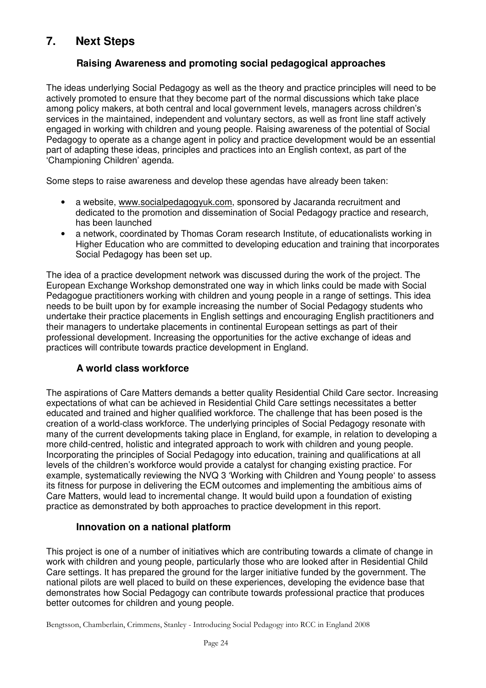# **7. Next Steps**

# **Raising Awareness and promoting social pedagogical approaches**

The ideas underlying Social Pedagogy as well as the theory and practice principles will need to be actively promoted to ensure that they become part of the normal discussions which take place among policy makers, at both central and local government levels, managers across children's services in the maintained, independent and voluntary sectors, as well as front line staff actively engaged in working with children and young people. Raising awareness of the potential of Social Pedagogy to operate as a change agent in policy and practice development would be an essential part of adapting these ideas, principles and practices into an English context, as part of the 'Championing Children' agenda.

Some steps to raise awareness and develop these agendas have already been taken:

- a website, www.socialpedagogyuk.com, sponsored by Jacaranda recruitment and dedicated to the promotion and dissemination of Social Pedagogy practice and research, has been launched
- a network, coordinated by Thomas Coram research Institute, of educationalists working in Higher Education who are committed to developing education and training that incorporates Social Pedagogy has been set up.

The idea of a practice development network was discussed during the work of the project. The European Exchange Workshop demonstrated one way in which links could be made with Social Pedagogue practitioners working with children and young people in a range of settings. This idea needs to be built upon by for example increasing the number of Social Pedagogy students who undertake their practice placements in English settings and encouraging English practitioners and their managers to undertake placements in continental European settings as part of their professional development. Increasing the opportunities for the active exchange of ideas and practices will contribute towards practice development in England.

# **A world class workforce**

The aspirations of Care Matters demands a better quality Residential Child Care sector. Increasing expectations of what can be achieved in Residential Child Care settings necessitates a better educated and trained and higher qualified workforce. The challenge that has been posed is the creation of a world-class workforce. The underlying principles of Social Pedagogy resonate with many of the current developments taking place in England, for example, in relation to developing a more child-centred, holistic and integrated approach to work with children and young people. Incorporating the principles of Social Pedagogy into education, training and qualifications at all levels of the children's workforce would provide a catalyst for changing existing practice. For example, systematically reviewing the NVQ 3 'Working with Children and Young people' to assess its fitness for purpose in delivering the ECM outcomes and implementing the ambitious aims of Care Matters, would lead to incremental change. It would build upon a foundation of existing practice as demonstrated by both approaches to practice development in this report.

# **Innovation on a national platform**

This project is one of a number of initiatives which are contributing towards a climate of change in work with children and young people, particularly those who are looked after in Residential Child Care settings. It has prepared the ground for the larger initiative funded by the government. The national pilots are well placed to build on these experiences, developing the evidence base that demonstrates how Social Pedagogy can contribute towards professional practice that produces better outcomes for children and young people.